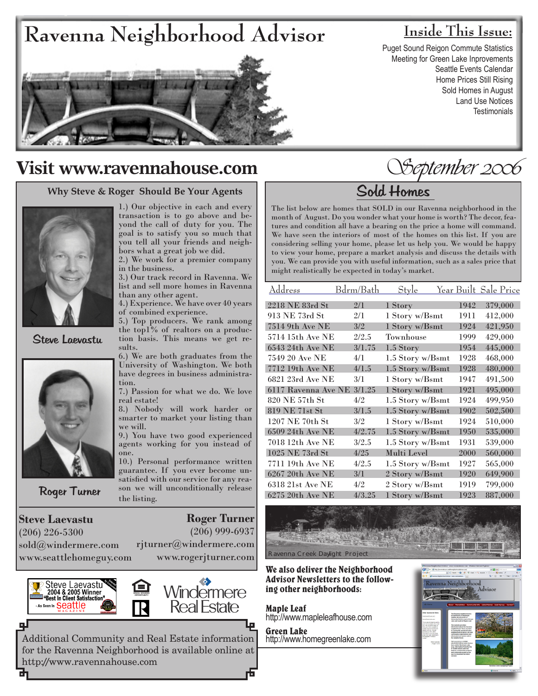# **Ravenna Neighborhood Advisor Inside This Issue:**

Puget Sound Reigon Commute Statistics Meeting for Green Lake Inprovements Seattle Events Calendar Home Prices Still Rising Sold Homes in August Land Use Notices **Testimonials** 



### **Visit www.ravennahouse.com**

#### **Why Steve & Roger Should Be Your Agents**



Steve Laevastu



Roger Turner

**Steve Laevastu** (206) 226-5300 sold@windermere.com www.seattlehomeguy.com

1.) Our objective in each and every transaction is to go above and beyond the call of duty for you. The goal is to satisfy you so much that you tell all your friends and neighbors what a great job we did.

2.) We work for a premier company in the business.

3.) Our track record in Ravenna. We list and sell more homes in Ravenna than any other agent.

4.) Experience. We have over 40 years of combined experience.

5.) Top producers. We rank among the top1% of realtors on a production basis. This means we get results.

6.) We are both graduates from the University of Washington. We both have degrees in business administration.

7.) Passion for what we do. We love real estate!

8.) Nobody will work harder or smarter to market your listing than we will.

9.) You have two good experienced agents working for you instead of one.

10.) Personal performance written guarantee. If you ever become unsatisfied with our service for any reason we will unconditionally release the listing.

**Roger Turner**

(206) 999-6937

rjturner@windermere.com www.rogerjturner.com



ᆋ





September 2006

## Sold Homes

The list below are homes that SOLD in our Ravenna neighborhood in the month of August. Do you wonder what your home is worth? The decor, features and condition all have a bearing on the price a home will command. We have seen the interiors of most of the homes on this list. If you are considering selling your home, please let us help you. We would be happy to view your home, prepare a market analysis and discuss the details with you. We can provide you with useful information, such as a sales price that might realistically be expected in today's market.

| <u>Address</u>        | Bdrm/Bath | <b>Style</b>     |      | <u>Year Built Sale Price</u> |
|-----------------------|-----------|------------------|------|------------------------------|
| 2218 NE 83rd St       | 2/1       | 1 Story          | 1942 | 379,000                      |
| 913 NE 73rd St        | 2/1       | 1 Story w/Bsmt   | 1911 | 412,000                      |
| 7514 9th Ave NE       | 3/2       | 1 Story w/Bsmt   | 1924 | 421,950                      |
| 5714 15th Ave NE      | 2/2.5     | Townhouse        | 1999 | 429,000                      |
| 6543 24th Ave NE      | 3/1.75    | 1.5 Story        | 1954 | 445,000                      |
| 7549 20 Ave NE        | 4/1       | 1.5 Story w/Bsmt | 1928 | 468,000                      |
| 7712 19th Ave NE      | 4/1.5     | 1.5 Story w/Bsmt | 1928 | 480,000                      |
| 6821 23rd Ave NE      | 3/1       | 1 Story w/Bsmt   | 1947 | 491,500                      |
| 6117 Ravenna Ave NE   | 3/1.25    | 1 Story w/Bsmt   | 1921 | 495,000                      |
| 820 NE 57th St        | 4/2       | 1.5 Story w/Bsmt | 1924 | 499,950                      |
| <b>819 NE 71st St</b> | 3/1.5     | 1.5 Story w/Bsmt | 1902 | 502,500                      |
| 1207 NE 70th St       | 3/2       | 1 Story w/Bsmt   | 1924 | 510,000                      |
| 6509 24th Ave NE      | 4/2.75    | 1.5 Story w/Bsmt | 1950 | 535,000                      |
| 7018 12th Ave NE      | 3/2.5     | 1.5 Story w/Bsmt | 1931 | 539,000                      |
| 1025 NE 73rd St       | 4/25      | Multi Level      | 2000 | 560,000                      |
| 7711 19th Ave NE      | 4/2.5     | 1.5 Story w/Bsmt | 1927 | 565,000                      |
| 6267 20th Ave NE      | 3/1       | 2 Story w/Bsmt   | 1920 | 649,900                      |
| 6318 21st Ave NE      | 4/2       | 2 Story w/Bsmt   | 1919 | 799,000                      |
| 6275 20th Ave NE      | 4/3.25    | 1 Story w/Bsmt   | 1923 | 887,000                      |

### We also deliver the Neighborhood Advisor Newsletters to the follow- ing other neighborhoods:

Maple Leaf http://www.mapleleafhouse.com

Ravenna Creek Daylight Project

Green Lake http://www.homegreenlake.com

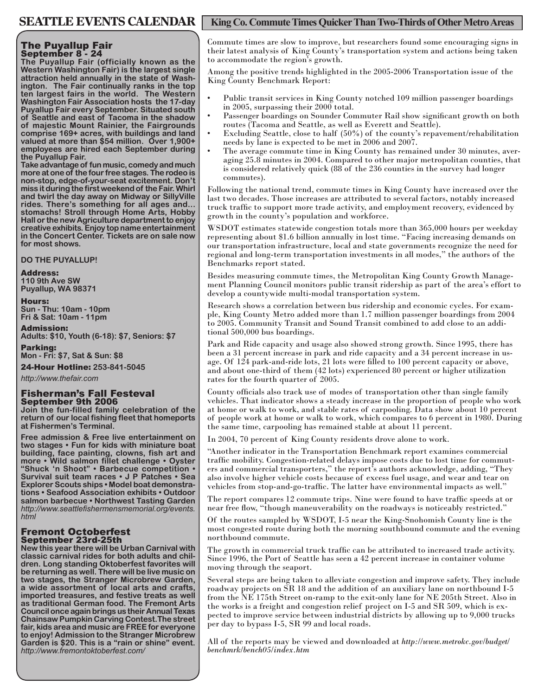#### The Puyallup Fair September 8 - 24

**The Puyallup Fair (officially known as the Western Washington Fair) is the largest single attraction held annually in the state of Wash- ington. The Fair continually ranks in the top ten largest fairs in the world. The Western Washington Fair Association hosts the 17-day Puyallup Fair every September. Situated south of Seattle and east of Tacoma in the shadow of majestic Mount Rainier, the Fairgrounds comprise 169+ acres, with buildings and land valued at more than \$54 million. Over 1,900+ employees are hired each September during the Puyallup Fair.**

**Take advantage of fun music, comedy and much more at one of the four free stages. The rodeo is non-stop, edge-of-your-seat excitement. Don't miss it during the first weekend of the Fair. Whirl and twirl the day away on Midway or SillyVille rides. There's something for all ages and... stomachs! Stroll through Home Arts, Hobby Hall or the new Agriculture department to enjoy creative exhibits. Enjoy top name entertainment in the Concert Center. Tickets are on sale now for most shows.**

**DO THE PUYALLUP!**

#### Address:

**110 9th Ave SW Puyallup, WA 98371**

Hours:

**Sun - Thu: 10am - 10pm Fri & Sat: 10am - 11pm**

Admission: **Adults: \$10, Youth (6-18): \$7, Seniors: \$7**

Parking: **Mon - Fri: \$7, Sat & Sun: \$8**

24-Hour Hotline: **253-841-5045**

*http://www.thefair.com*

#### Fisherman's Fall Festeval September 9th 2006

**Join the fun-filled family celebration of the return of our local fishing fleet that homeports at Fishermen's Terminal.**

**Free admission & Free live entertainment on two stages • Fun for kids with miniature boat building, face painting, clowns, fish art and more • Wild salmon fillet challenge • Oyster "Shuck 'n Shoot" • Barbecue competition • Survival suit team races • J P Patches • Sea Explorer Scouts ships • Model boat demonstrations • Seafood Association exhibits • Outdoor salmon barbecue • Northwest Tasting Garden**  *http://www.seattlefishermensmemorial.org/events. html*

#### Fremont Octoberfest September 23rd-25th

**New this year there will be Urban Carnival with classic carnival rides for both adults and children. Long standing Oktoberfest favorites will be returning as well. There will be live music on two stages, the Stranger Microbrew Garden, a wide assortment of local arts and crafts, imported treasures, and festive treats as well as traditional German food. The Fremont Arts Council once again brings us their Annual Texas Chainsaw Pumpkin Carving Contest.The street fair, kids area and music are FREE for everyone to enjoy! Admission to the Stranger Microbrew Garden is \$20. This is a "rain or shine" event.**  *http://www.fremontoktoberfest.com/*

### SEATTLE EVENTS CALENDAR | King Co. Commute Times Quicker Than Two-Thirds of Other Metro Areas

Commute times are slow to improve, but researchers found some encouraging signs in their latest analysis of King County's transportation system and actions being taken to accommodate the region's growth.

Among the positive trends highlighted in the 2005-2006 Transportation issue of the King County Benchmark Report:

- Public transit services in King County notched 109 million passenger boardings in 2005, surpassing their 2000 total. •
- Passenger boardings on Sounder Commuter Rail show significant growth on both routes (Tacoma and Seattle, as well as Everett and Seattle). •
- Excluding Seattle, close to half (50%) of the county's repavement/rehabilitation needs by lane is expected to be met in 2006 and 2007. •
- The average commute time in King County has remained under 30 minutes, averaging 25.8 minutes in 2004. Compared to other major metropolitan counties, that is considered relatively quick (88 of the 236 counties in the survey had longer commutes). •

Following the national trend, commute times in King County have increased over the last two decades. Those increases are attributed to several factors, notably increased truck traffic to support more trade activity, and employment recovery, evidenced by growth in the county's population and workforce.

WSDOT estimates statewide congestion totals more than 365,000 hours per weekday representing about \$1.6 billion annually in lost time. "Facing increasing demands on our transportation infrastructure, local and state governments recognize the need for regional and long-term transportation investments in all modes," the authors of the Benchmarks report stated.

Besides measuring commute times, the Metropolitan King County Growth Manage- ment Planning Council monitors public transit ridership as part of the area's effort to develop a countywide multi-modal transportation system.

Research shows a correlation between bus ridership and economic cycles. For exam- ple, King County Metro added more than 1.7 million passenger boardings from 2004 to 2005. Community Transit and Sound Transit combined to add close to an addi- tional 500,000 bus boardings.

Park and Ride capacity and usage also showed strong growth. Since 1995, there has been a 31 percent increase in park and ride capacity and a 34 percent increase in usage. Of 124 park-and-ride lots, 21 lots were filled to 100 percent capacity or above, and about one-third of them (42 lots) experienced 80 percent or higher utilization rates for the fourth quarter of 2005.

County officials also track use of modes of transportation other than single family vehicles. That indicator shows a steady increase in the proportion of people who work at home or walk to work, and stable rates of carpooling. Data show about 10 percent of people work at home or walk to work, which compares to 6 percent in 1980. During the same time, carpooling has remained stable at about 11 percent.

In 2004, 70 percent of King County residents drove alone to work.

"Another indicator in the Transportation Benchmark report examines commercial ers and commercial transporters," the report's authors acknowledge, adding, "They also involve higher vehicle costs because of excess fuel usage, and wear and tear on vehicles from stop-and-go-traffic. The latter have environmental impacts as well."

The report compares 12 commute trips. Nine were found to have traffic speeds at or near free flow, "though maneuverability on the roadways is noticeably restricted."

Of the routes sampled by WSDOT, I-5 near the King-Snohomish County line is the most congested route during both the morning southbound commute and the evening northbound commute.

The growth in commercial truck traffic can be attributed to increased trade activity. Since 1996, the Port of Seattle has seen a 42 percent increase in container volume moving through the seaport.

Several steps are being taken to alleviate congestion and improve safety. They include roadway projects on SR 18 and the addition of an auxiliary lane on northbound I-5 from the NE 175th Street on-ramp to the exit-only lane for NE 205th Street. Also in the works is a freight and congestion relief project on I-5 and SR 509, which is expected to improve service between industrial districts by allowing up to 9,000 trucks per day to bypass I-5, SR 99 and local roads.

All of the reports may be viewed and downloaded at *http://www.metrokc.gov/budget/ benchmrk/bench05/index.htm*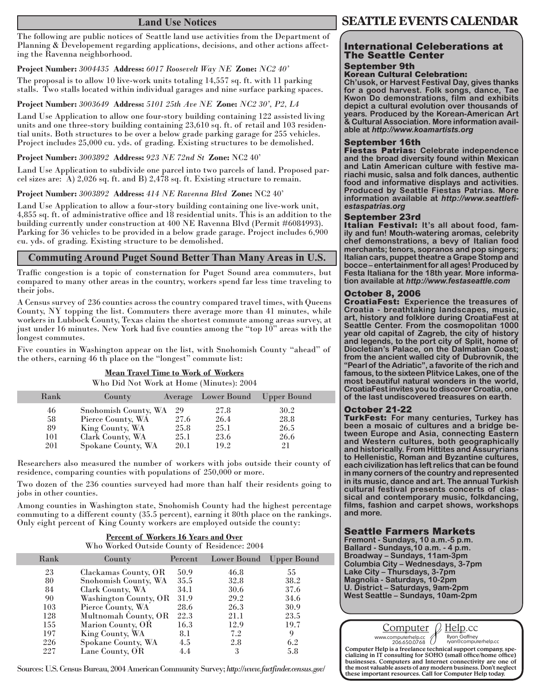### **Land Use Notices**

The following are public notices of Seattle land use activities from the Department of Planning & Developement regarding applications, decisions, and other actions affecting the Ravenna neighborhood.

#### **Project Number:** *3004435* **Address:** *6017 Roosevelt Way NE* **Zone:** *NC2 40'*

The proposal is to allow 10 live-work units totaling 14,557 sq. ft. with 11 parking stalls. Two stalls located within individual garages and nine surface parking spaces.

#### **Project Number:** *3003649* **Address:** *5101 25th Ave NE* **Zone:** *NC2 30', P2, L4*

Land Use Application to allow one four-story building containing 122 assisted living units and one three-story building containing 23,610 sq. ft. of retail and 103 residential units. Both structures to be over a below grade parking garage for 255 vehicles. Project includes 25,000 cu. yds. of grading. Existing structures to be demolished.

#### **Project Number:** *3003892* **Address:** *923 NE 72nd St* **Zone:** NC2 40'

Land Use Application to subdivide one parcel into two parcels of land. Proposed parcel sizes are: A) 2,026 sq. ft. and B) 2,478 sq. ft. Existing structure to remain.

#### **Project Number:** *3003892* **Address:** *414 NE Ravenna Blvd* **Zone:** NC2 40'

Land Use Application to allow a four-story building containing one live-work unit, 4,855 sq. ft. of administrative office and 18 residential units. This is an addition to the building currently under construction at 400 NE Ravenna Blvd (Permit #6084993). Parking for 36 vehicles to be provided in a below grade garage. Project includes 6,900 cu. yds. of grading. Existing structure to be demolished.

#### **Commuting Around Puget Sound Better Than Many Areas in U.S.**

Traffic congestion is a topic of consternation for Puget Sound area commuters, but compared to many other areas in the country, workers spend far less time traveling to their jobs.

A Census survey of 236 counties across the country compared travel times, with Queens County, NY topping the list. Commuters there average more than 41 minutes, while workers in Lubbock County, Texas claim the shortest commute among areas survey, at just under 16 minutes. New York had five counties among the "top 10" areas with the longest commutes.

Five counties in Washington appear on the list, with Snohomish County "ahead" of the others, earning 46 th place on the "longest" commute list:

#### **Mean Travel Time to Work of Workers**

Who Did Not Work at Home (Minutes): 2004

| Rank | County               |      | Average Lower Bound | Upper Bound |
|------|----------------------|------|---------------------|-------------|
| 46   | Snohomish County, WA | 29   | 27.8                | 30.2        |
| 58   | Pierce County, WA    | 27.6 | 26.4                | 28.8        |
| 89   | King County, WA      | 25.8 | 25.1                | 26.5        |
| 101  | Clark County, WA     | 25.1 | 23.6                | 26.6        |
| 201  | Spokane County, WA   | 20.1 | 19.2                | 21          |

Researchers also measured the number of workers with jobs outside their county of residence, comparing counties with populations of 250,000 or more.

Two dozen of the 236 counties surveyed had more than half their residents going to jobs in other counties.

Among counties in Washington state, Snohomish County had the highest percentage commuting to a different county (35.5 percent), earning it 80th place on the rankings. Only eight percent of King County workers are employed outside the county:

> **Percent of Workers 16 Years and Over** Who Worked Outside County of Residence: 2004

| Rank | County                | Percent | Lower Bound | <b>Upper Bound</b> |
|------|-----------------------|---------|-------------|--------------------|
| 23   | Clackamas County, OR  | 50.9    | 46.8        | 55                 |
| 80   | Snohomish County, WA  | 35.5    | 32.8        | 38.2               |
| 84   | Clark County, WA      | 34.1    | 30.6        | 37.6               |
| 90   | Washington County, OR | 31.9    | 29.2        | 34.6               |
| 103  | Pierce County, WA     | 28.6    | 26.3        | 30.9               |
| 128  | Multnomah County, OR  | 22.3    | 21.1        | 23.5               |
| 155  | Marion County, OR     | 16.3    | 12.9        | 19.7               |
| 197  | King County, WA       | 8.1     | 7.2         | 9                  |
| 226  | Spokane County, WA    | 4.5     | 2.8         | 6.2                |
| 227  | Lane County, OR       | 4.4     | 3           | 5.8                |

Sources: U.S. Census Bureau, 2004 American Community Survey; *http://www.factfinder.census.gov/*

#### International Celeberations at The Seattle Center September 9th

#### Korean Cultural Celebration:

**Ch'usok, or Harvest Festival Day, gives thanks for a good harvest. Folk songs, dance, Tae Kwon Do demonstrations, film and exhibits depict a cultural evolution over thousands of years. Produced by the Korean-American Art & Cultural Association. More information available at** *http://www.koamartists.org*

#### September 16th

Fiestas Patrias: **Celebrate independence and the broad diversity found within Mexican and Latin American culture with festive mariachi music, salsa and folk dances, authentic food and informative displays and activities. Produced by Seattle Fiestas Patrias. More information available at** *http://www.seattlefi- estaspatrias.org*

September 23rd<br>Italian Festival: It's all about food, fam**ily and fun! Mouth-watering aromas, celebrity chef demonstrations, a bevy of Italian food merchants; tenors, sopranos and pop singers; Italian cars, puppet theatre a Grape Stomp and bocce – entertainment for all ages! Produced by Festa Italiana for the 18th year. More information available at** *http://www.festaseattle.com*

#### October 8, 2006

CroatiaFest: **Experience the treasures of Croatia - breathtaking landscapes, music, art, history and folklore during CroatiaFest at Seattle Center. From the cosmopolitan 1000 year old capital of Zagreb, the city of history and legends, to the port city of Split, home of Diocletian's Palace, on the Dalmatian Coast; from the ancient walled city of Dubrovnik, the "Pearl of the Adriatic", a favorite of the rich and famous, to the sixteen Plitvice Lakes, one of the most beautiful natural wonders in the world, CroatiaFest invites you to discover Croatia, one of the last undiscovered treasures on earth.**

#### October 21-22

TurkFest: **For many centuries, Turkey has been a mosaic of cultures and a bridge between Europe and Asia, connecting Eastern and Western cultures, both geographically and historically. From Hittites and Assuryrians to Hellenistic, Roman and Byzantine cultures, each civilization has left relics that can be found in many corners of the country and represented in its music, dance and art. The annual Turkish cultural festival presents concerts of classical and contemporary music, folkdancing, films, fashion and carpet shows, workshops and more.** 

#### Seattle Farmers Markets

**Fremont - Sundays, 10 a.m.-5 p.m. Ballard - Sundays,10 a.m. - 4 p.m. Broadway – Sundays, 11am-3pm Columbia City – Wednesdays, 3-7pm Lake City – Thursdays, 3-7pm Magnolia - Saturdays, 10-2pm U. District – Saturdays, 9am-2pm West Seattle – Sundays, 10am-2pm**